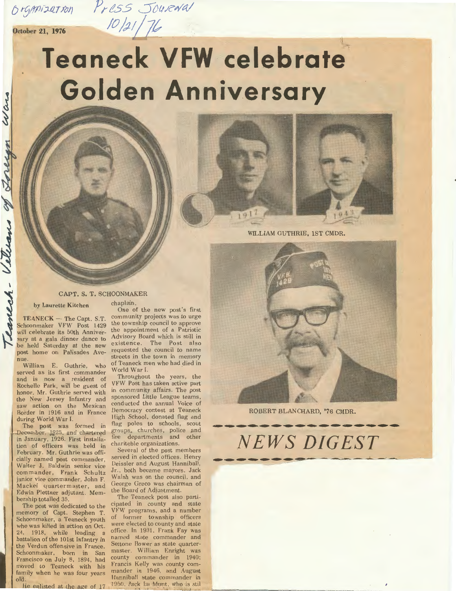**October 21, 1976**  $\frac{10}{2} \frac{1}{16}$ 

Wars

Torecan

06

Vetters

## it **Teaneck VFW celebrate' Golden Anniversary**

 $Pr$ CSS Jou*r*aval





WILLIAM GUTHRIE, 1ST CMDR.

## CAPT. S. T. SCHOONMAKER

by Laurette Kitchen chaplain.

 $TEANECK - The Capt. S.T.$ Schoonmaker VFW Post 1429 will celebrate its 50th Anniversary at a gala dinner dance to be held Saturday at the new post home on Palisades Avenue

William E. Guthrie, who served as its first commander and is now a resident of Rochelle Park, will be guest of honor. Mr. Guthrie served with the New Jersey Infantry and saw action on the Mexican Border in 1916 and in France during World War I.

The post was formed in December, 1925, and chartered in January, 1926. First installation of officers was held in February. Mr. Guthrie was officially named post commander, Walter J. Baldwin senior vice commander, Frank Schultz junior vice commander, John F. Mackel quartermaster, and Edwin Plettner adjutant. Membership totalled 35.

The post was dedicated to the memory of Capt. Stephen T Schoonmaker, a Teaneck youth who was killed in action on Oct. 24, 1918, while leading a battalion of the 101st Infantry in the Verdun offensive in France. Schoonmaker, born in Sar Francisco on July 8, 1894, had moved to Teaneck with his family when he was four years old.<br>He enlisted at the age of 1'

One of the new post's first community projects was to urge the township council to approve the appointment of a Patriotic Advisory Board which is still in existence. The Post also requested the council to name streets in the town in memory of Teaneck men who had died in World War I.

Throughout the years, the VFW Post has taken active part in community affairs. The post sponsored Little League teams. conducted the annual Voice of Democracy contest at Teaneck High School, donated flag and flag poles to schools, scout groups, churches, police and fire departments and other charitable organizations

Several of the post members served in elected offices. Henry Deissler and August Hanniball .Jr. , both became mayors. Jack Walsh was on the council, and George Greco was chairman of the Board of Adjustment.

The Teaneck post also participated in county and state VFW programs, and a number of former township officers were elected to county and state office. In 1931, Frank Fay was named state commander and Settone Bower as state quarter master. William Enright was county commander in 1940 Francis Kelly was county commander in 1946, and August Hanniball state commander in 1950. Jack La Mont, who is sti



 $NEWS$  DIGEST